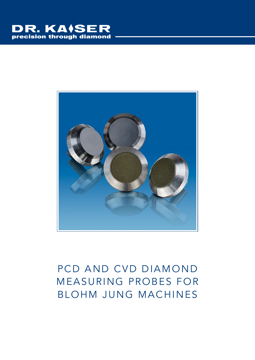



## PCD AND CVD DIAMOND MEASURING PROBES FOR BLOHM JUNG MACHINES